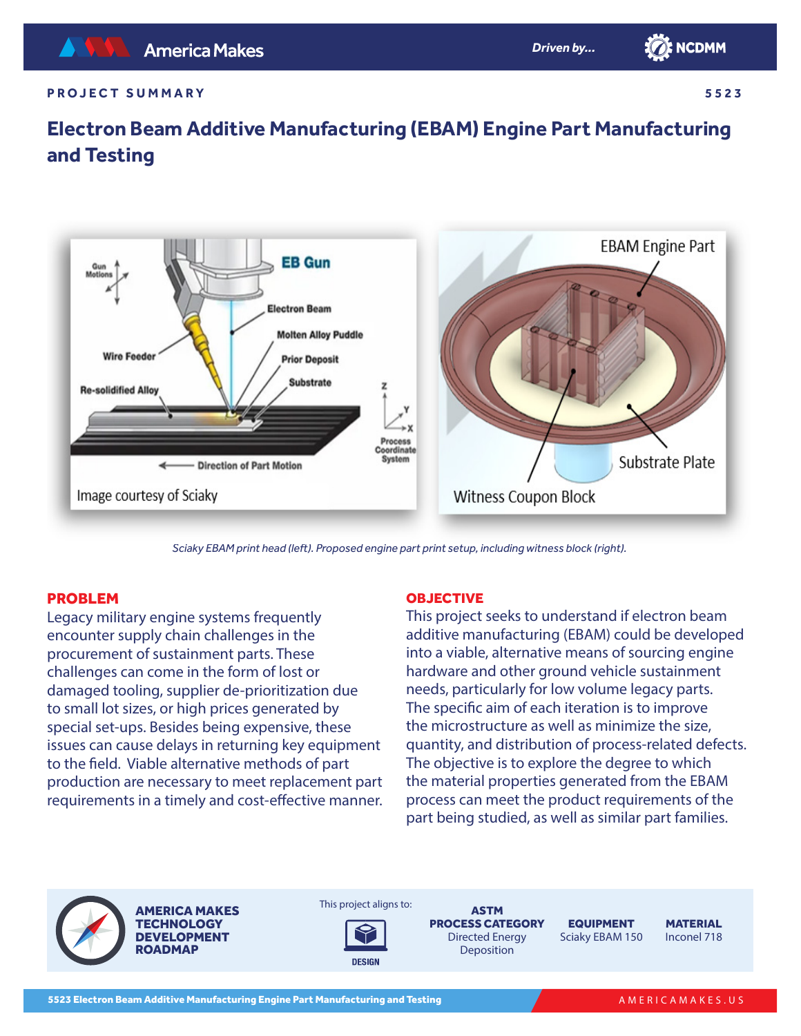

#### **PROJECT SUMMARY**

**5523**

# **Electron Beam Additive Manufacturing (EBAM) Engine Part Manufacturing and Testing**



*Sciaky EBAM print head (left). Proposed engine part print setup, including witness block (right).*

### PROBLEM

Legacy military engine systems frequently encounter supply chain challenges in the procurement of sustainment parts. These challenges can come in the form of lost or damaged tooling, supplier de-prioritization due to small lot sizes, or high prices generated by special set-ups. Besides being expensive, these issues can cause delays in returning key equipment to the field. Viable alternative methods of part production are necessary to meet replacement part requirements in a timely and cost-effective manner.

#### **OBJECTIVE**

This project seeks to understand if electron beam additive manufacturing (EBAM) could be developed into a viable, alternative means of sourcing engine hardware and other ground vehicle sustainment needs, particularly for low volume legacy parts. The specific aim of each iteration is to improve the microstructure as well as minimize the size, quantity, and distribution of process-related defects. The objective is to explore the degree to which the material properties generated from the EBAM process can meet the product requirements of the part being studied, as well as similar part families.

AMERICA MAKES **TECHNOLOGY** DEVELOPMENT **ROADMAP** 





ASTM PROCESS CATEGORY Directed Energy Deposition

EQUIPMENT Sciaky EBAM 150

**MATERIAL** Inconel 718